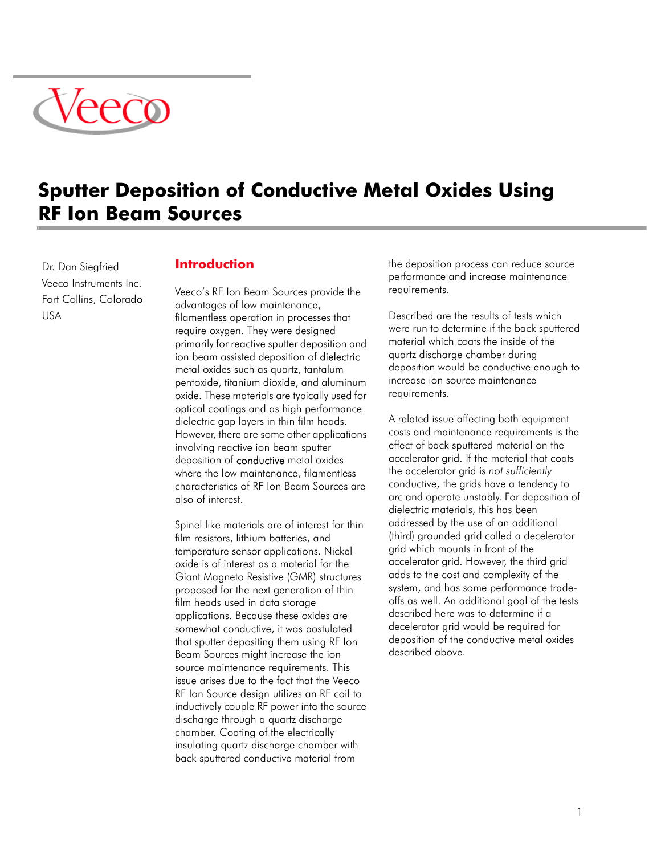

# **Sputter Deposition of Conductive Metal Oxides Using RF Ion Beam Sources**

Dr. Dan Siegfried Veeco Instruments Inc. Fort Collins, Colorado USA

## **Introduction**

Veeco's RF Ion Beam Sources provide the advantages of low maintenance, filamentless operation in processes that require oxygen. They were designed primarily for reactive sputter deposition and ion beam assisted deposition of **dielectric** metal oxides such as quartz, tantalum pentoxide, titanium dioxide, and aluminum oxide. These materials are typically used for optical coatings and as high performance dielectric gap layers in thin film heads. However, there are some other applications involving reactive ion beam sputter deposition of conductive metal oxides where the low maintenance, filamentless characteristics of RF Ion Beam Sources are also of interest.

Spinel like materials are of interest for thin film resistors, lithium batteries, and temperature sensor applications. Nickel oxide is of interest as a material for the Giant Magneto Resistive (GMR) structures proposed for the next generation of thin film heads used in data storage applications. Because these oxides are somewhat conductive, it was postulated that sputter depositing them using RF Ion Beam Sources might increase the ion source maintenance requirements. This issue arises due to the fact that the Veeco RF Ion Source design utilizes an RF coil to inductively couple RF power into the source discharge through a quartz discharge chamber. Coating of the electrically insulating quartz discharge chamber with back sputtered conductive material from

the deposition process can reduce source performance and increase maintenance requirements.

Described are the results of tests which were run to determine if the back sputtered material which coats the inside of the quartz discharge chamber during deposition would be conductive enough to increase ion source maintenance requirements.

A related issue affecting both equipment costs and maintenance requirements is the effect of back sputtered material on the accelerator grid. If the material that coats the accelerator grid is *not sufficiently* conductive, the grids have a tendency to arc and operate unstably. For deposition of dielectric materials, this has been addressed by the use of an additional (third) grounded grid called a decelerator grid which mounts in front of the accelerator grid. However, the third grid adds to the cost and complexity of the system, and has some performance tradeoffs as well. An additional goal of the tests described here was to determine if a decelerator grid would be required for deposition of the conductive metal oxides described above.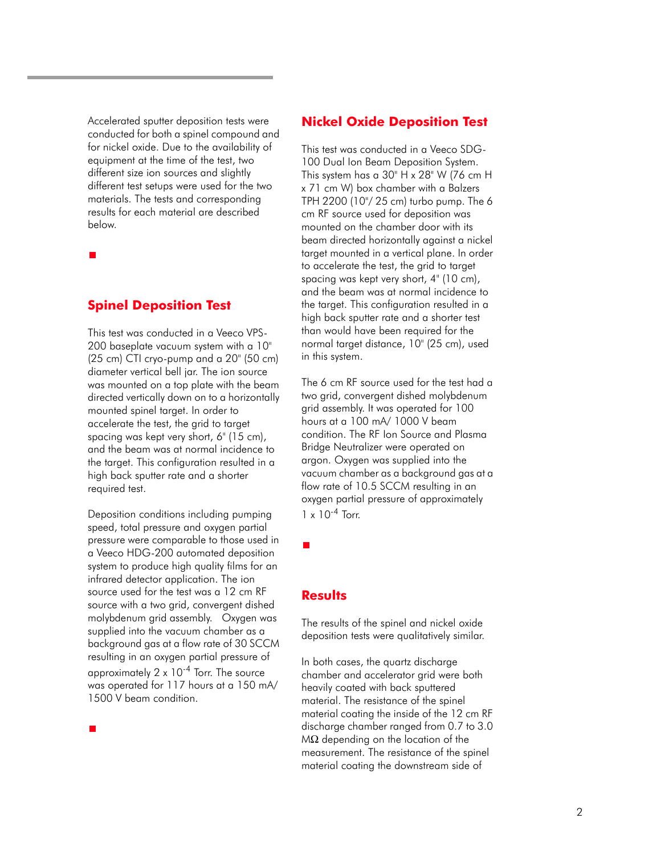Accelerated sputter deposition tests were conducted for both a spinel compound and for nickel oxide. Due to the availability of equipment at the time of the test, two different size ion sources and slightly different test setups were used for the two materials. The tests and corresponding results for each material are described below.

**Spinel Deposition Test**

This test was conducted in a Veeco VPS-200 baseplate vacuum system with a 10" (25 cm) CTI cryo-pump and a 20" (50 cm) diameter vertical bell jar. The ion source was mounted on a top plate with the beam directed vertically down on to a horizontally mounted spinel target. In order to accelerate the test, the grid to target spacing was kept very short, 6" (15 cm), and the beam was at normal incidence to the target. This configuration resulted in a high back sputter rate and a shorter required test.

Deposition conditions including pumping speed, total pressure and oxygen partial pressure were comparable to those used in a Veeco HDG-200 automated deposition system to produce high quality films for an infrared detector application. The ion source used for the test was a 12 cm RF source with a two grid, convergent dished molybdenum grid assembly. Oxygen was supplied into the vacuum chamber as a background gas at a flow rate of 30 SCCM resulting in an oxygen partial pressure of approximately  $2 \times 10^{-4}$  Torr. The source was operated for 117 hours at a 150 mA/ 1500 V beam condition.

## **Nickel Oxide Deposition Test**

This test was conducted in a Veeco SDG-100 Dual Ion Beam Deposition System. This system has a 30" H x 28" W (76 cm H x 71 cm W) box chamber with a Balzers TPH 2200 (10"/ 25 cm) turbo pump. The 6 cm RF source used for deposition was mounted on the chamber door with its beam directed horizontally against a nickel target mounted in a vertical plane. In order to accelerate the test, the grid to target spacing was kept very short, 4" (10 cm), and the beam was at normal incidence to the target. This configuration resulted in a high back sputter rate and a shorter test than would have been required for the normal target distance, 10" (25 cm), used in this system.

The 6 cm RF source used for the test had a two grid, convergent dished molybdenum grid assembly. It was operated for 100 hours at a 100 mA/ 1000 V beam condition. The RF Ion Source and Plasma Bridge Neutralizer were operated on argon. Oxygen was supplied into the vacuum chamber as a background gas at a flow rate of 10.5 SCCM resulting in an oxygen partial pressure of approximately  $1 \times 10^{-4}$  Torr.

**Results** 

The results of the spinel and nickel oxide deposition tests were qualitatively similar.

In both cases, the quartz discharge chamber and accelerator grid were both heavily coated with back sputtered material. The resistance of the spinel material coating the inside of the 12 cm RF discharge chamber ranged from 0.7 to 3.0 MΩ depending on the location of the measurement. The resistance of the spinel material coating the downstream side of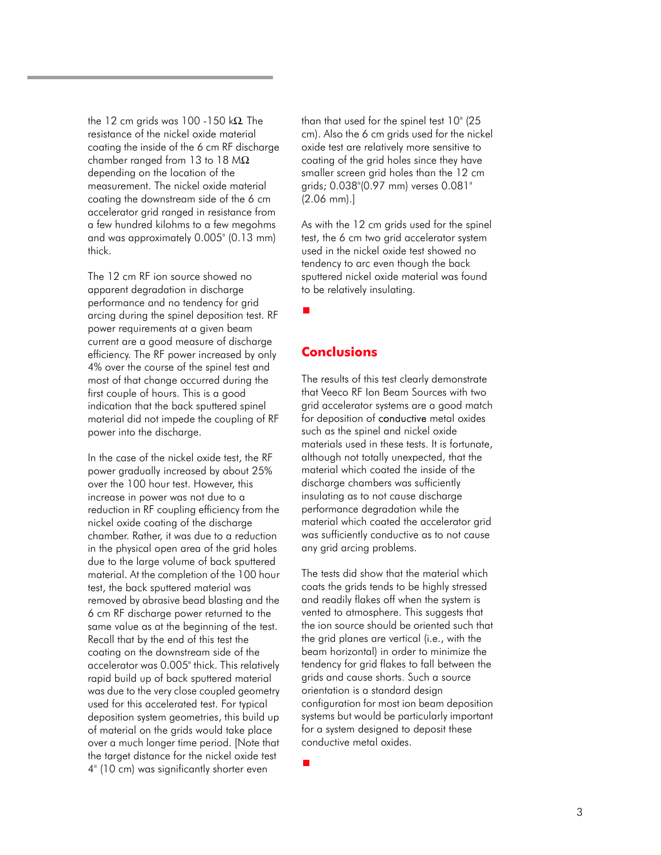the 12 cm grids was 100 -150 k $\Omega$ . The resistance of the nickel oxide material coating the inside of the 6 cm RF discharge chamber ranged from 13 to 18  $M\Omega$ depending on the location of the measurement. The nickel oxide material coating the downstream side of the 6 cm accelerator grid ranged in resistance from a few hundred kilohms to a few megohms and was approximately 0.005" (0.13 mm) thick.

The 12 cm RF ion source showed no apparent degradation in discharge performance and no tendency for grid arcing during the spinel deposition test. RF power requirements at a given beam current are a good measure of discharge efficiency. The RF power increased by only 4% over the course of the spinel test and most of that change occurred during the first couple of hours. This is a good indication that the back sputtered spinel material did not impede the coupling of RF power into the discharge.

In the case of the nickel oxide test, the RF power gradually increased by about 25% over the 100 hour test. However, this increase in power was not due to a reduction in RF coupling efficiency from the nickel oxide coating of the discharge chamber. Rather, it was due to a reduction in the physical open area of the grid holes due to the large volume of back sputtered material. At the completion of the 100 hour test, the back sputtered material was removed by abrasive bead blasting and the 6 cm RF discharge power returned to the same value as at the beginning of the test. Recall that by the end of this test the coating on the downstream side of the accelerator was 0.005" thick. This relatively rapid build up of back sputtered material was due to the very close coupled geometry used for this accelerated test. For typical deposition system geometries, this build up of material on the grids would take place over a much longer time period. [Note that the target distance for the nickel oxide test 4" (10 cm) was significantly shorter even

than that used for the spinel test 10" (25 cm). Also the 6 cm grids used for the nickel oxide test are relatively more sensitive to coating of the grid holes since they have smaller screen grid holes than the 12 cm grids; 0.038"(0.97 mm) verses 0.081" (2.06 mm).]

As with the 12 cm grids used for the spinel test, the 6 cm two grid accelerator system used in the nickel oxide test showed no tendency to arc even though the back sputtered nickel oxide material was found to be relatively insulating.

## **Conclusions**

The results of this test clearly demonstrate that Veeco RF Ion Beam Sources with two grid accelerator systems are a good match for deposition of **conductive** metal oxides such as the spinel and nickel oxide materials used in these tests. It is fortunate, although not totally unexpected, that the material which coated the inside of the discharge chambers was sufficiently insulating as to not cause discharge performance degradation while the material which coated the accelerator grid was sufficiently conductive as to not cause any grid arcing problems.

The tests did show that the material which coats the grids tends to be highly stressed and readily flakes off when the system is vented to atmosphere. This suggests that the ion source should be oriented such that the grid planes are vertical (i.e., with the beam horizontal) in order to minimize the tendency for grid flakes to fall between the grids and cause shorts. Such a source orientation is a standard design configuration for most ion beam deposition systems but would be particularly important for a system designed to deposit these conductive metal oxides.